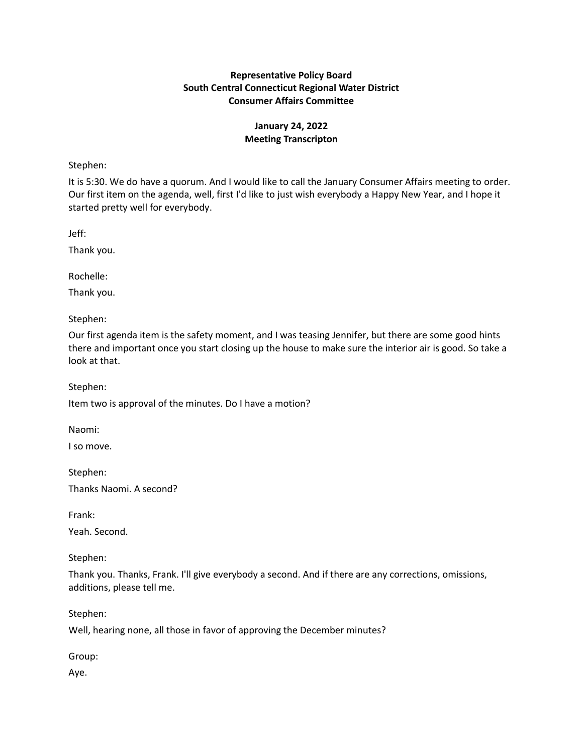# **Representative Policy Board South Central Connecticut Regional Water District Consumer Affairs Committee**

# **January 24, 2022 Meeting Transcripton**

Stephen:

It is 5:30. We do have a quorum. And I would like to call the January Consumer Affairs meeting to order. Our first item on the agenda, well, first I'd like to just wish everybody a Happy New Year, and I hope it started pretty well for everybody.

Jeff:

Thank you.

Rochelle:

Thank you.

Stephen:

Our first agenda item is the safety moment, and I was teasing Jennifer, but there are some good hints there and important once you start closing up the house to make sure the interior air is good. So take a look at that.

Stephen:

Item two is approval of the minutes. Do I have a motion?

Naomi:

I so move.

Stephen:

Thanks Naomi. A second?

Frank:

Yeah. Second.

Stephen:

Thank you. Thanks, Frank. I'll give everybody a second. And if there are any corrections, omissions, additions, please tell me.

Stephen:

Well, hearing none, all those in favor of approving the December minutes?

Group:

Aye.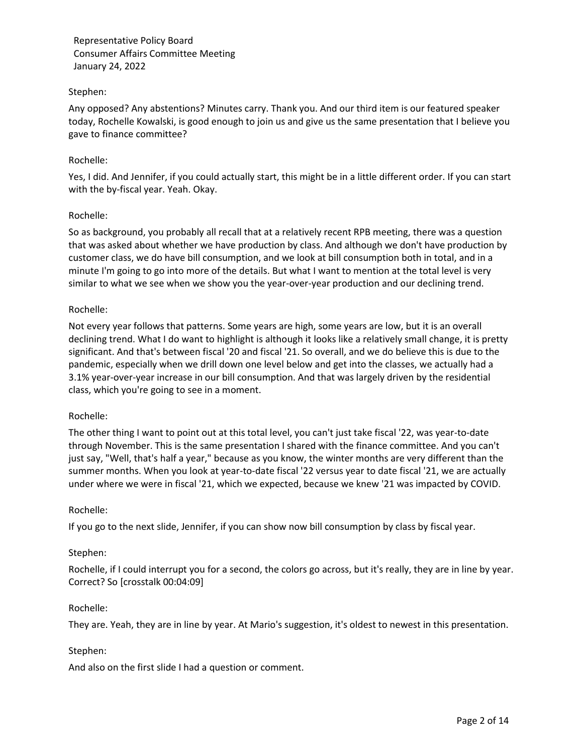### Stephen:

Any opposed? Any abstentions? Minutes carry. Thank you. And our third item is our featured speaker today, Rochelle Kowalski, is good enough to join us and give us the same presentation that I believe you gave to finance committee?

### Rochelle:

Yes, I did. And Jennifer, if you could actually start, this might be in a little different order. If you can start with the by-fiscal year. Yeah. Okay.

### Rochelle:

So as background, you probably all recall that at a relatively recent RPB meeting, there was a question that was asked about whether we have production by class. And although we don't have production by customer class, we do have bill consumption, and we look at bill consumption both in total, and in a minute I'm going to go into more of the details. But what I want to mention at the total level is very similar to what we see when we show you the year-over-year production and our declining trend.

### Rochelle:

Not every year follows that patterns. Some years are high, some years are low, but it is an overall declining trend. What I do want to highlight is although it looks like a relatively small change, it is pretty significant. And that's between fiscal '20 and fiscal '21. So overall, and we do believe this is due to the pandemic, especially when we drill down one level below and get into the classes, we actually had a 3.1% year-over-year increase in our bill consumption. And that was largely driven by the residential class, which you're going to see in a moment.

#### Rochelle:

The other thing I want to point out at this total level, you can't just take fiscal '22, was year-to-date through November. This is the same presentation I shared with the finance committee. And you can't just say, "Well, that's half a year," because as you know, the winter months are very different than the summer months. When you look at year-to-date fiscal '22 versus year to date fiscal '21, we are actually under where we were in fiscal '21, which we expected, because we knew '21 was impacted by COVID.

#### Rochelle:

If you go to the next slide, Jennifer, if you can show now bill consumption by class by fiscal year.

#### Stephen:

Rochelle, if I could interrupt you for a second, the colors go across, but it's really, they are in line by year. Correct? So [crosstalk 00:04:09]

#### Rochelle:

They are. Yeah, they are in line by year. At Mario's suggestion, it's oldest to newest in this presentation.

#### Stephen:

And also on the first slide I had a question or comment.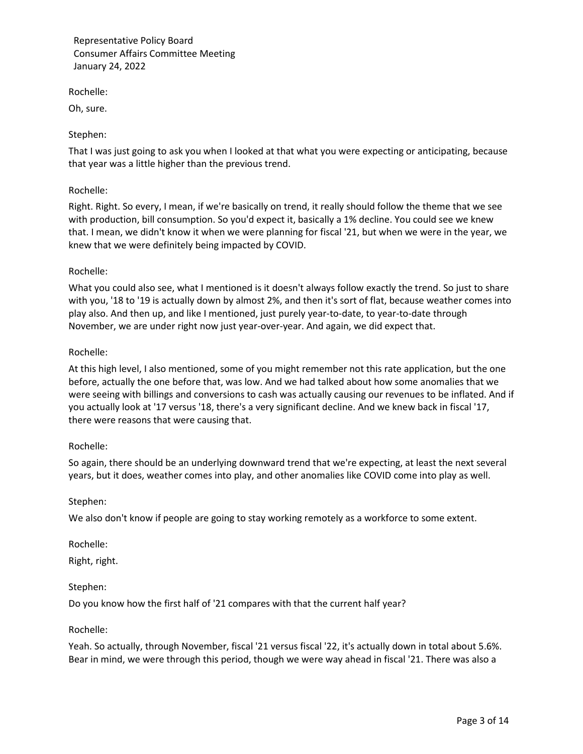Rochelle:

Oh, sure.

## Stephen:

That I was just going to ask you when I looked at that what you were expecting or anticipating, because that year was a little higher than the previous trend.

### Rochelle:

Right. Right. So every, I mean, if we're basically on trend, it really should follow the theme that we see with production, bill consumption. So you'd expect it, basically a 1% decline. You could see we knew that. I mean, we didn't know it when we were planning for fiscal '21, but when we were in the year, we knew that we were definitely being impacted by COVID.

### Rochelle:

What you could also see, what I mentioned is it doesn't always follow exactly the trend. So just to share with you, '18 to '19 is actually down by almost 2%, and then it's sort of flat, because weather comes into play also. And then up, and like I mentioned, just purely year-to-date, to year-to-date through November, we are under right now just year-over-year. And again, we did expect that.

### Rochelle:

At this high level, I also mentioned, some of you might remember not this rate application, but the one before, actually the one before that, was low. And we had talked about how some anomalies that we were seeing with billings and conversions to cash was actually causing our revenues to be inflated. And if you actually look at '17 versus '18, there's a very significant decline. And we knew back in fiscal '17, there were reasons that were causing that.

#### Rochelle:

So again, there should be an underlying downward trend that we're expecting, at least the next several years, but it does, weather comes into play, and other anomalies like COVID come into play as well.

#### Stephen:

We also don't know if people are going to stay working remotely as a workforce to some extent.

Rochelle:

Right, right.

# Stephen:

Do you know how the first half of '21 compares with that the current half year?

#### Rochelle:

Yeah. So actually, through November, fiscal '21 versus fiscal '22, it's actually down in total about 5.6%. Bear in mind, we were through this period, though we were way ahead in fiscal '21. There was also a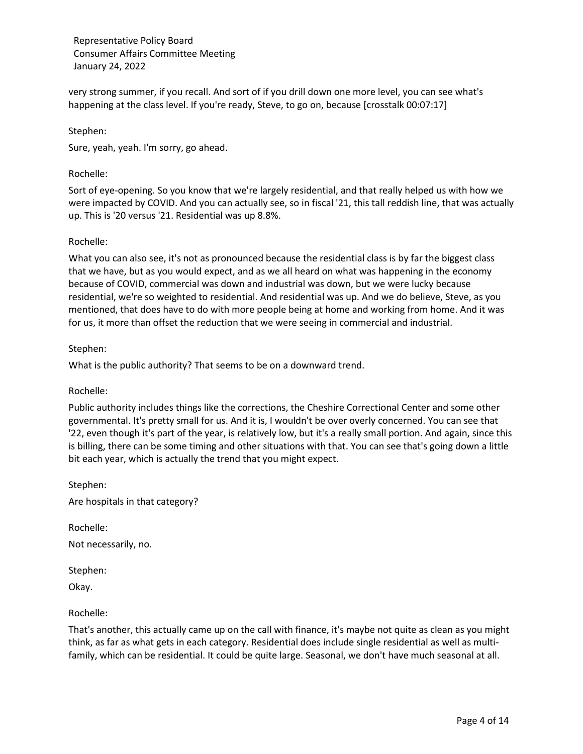very strong summer, if you recall. And sort of if you drill down one more level, you can see what's happening at the class level. If you're ready, Steve, to go on, because [crosstalk 00:07:17]

Stephen:

Sure, yeah, yeah. I'm sorry, go ahead.

#### Rochelle:

Sort of eye-opening. So you know that we're largely residential, and that really helped us with how we were impacted by COVID. And you can actually see, so in fiscal '21, this tall reddish line, that was actually up. This is '20 versus '21. Residential was up 8.8%.

### Rochelle:

What you can also see, it's not as pronounced because the residential class is by far the biggest class that we have, but as you would expect, and as we all heard on what was happening in the economy because of COVID, commercial was down and industrial was down, but we were lucky because residential, we're so weighted to residential. And residential was up. And we do believe, Steve, as you mentioned, that does have to do with more people being at home and working from home. And it was for us, it more than offset the reduction that we were seeing in commercial and industrial.

#### Stephen:

What is the public authority? That seems to be on a downward trend.

#### Rochelle:

Public authority includes things like the corrections, the Cheshire Correctional Center and some other governmental. It's pretty small for us. And it is, I wouldn't be over overly concerned. You can see that '22, even though it's part of the year, is relatively low, but it's a really small portion. And again, since this is billing, there can be some timing and other situations with that. You can see that's going down a little bit each year, which is actually the trend that you might expect.

Stephen: Are hospitals in that category?

Rochelle: Not necessarily, no.

Stephen: Okay.

#### Rochelle:

That's another, this actually came up on the call with finance, it's maybe not quite as clean as you might think, as far as what gets in each category. Residential does include single residential as well as multifamily, which can be residential. It could be quite large. Seasonal, we don't have much seasonal at all.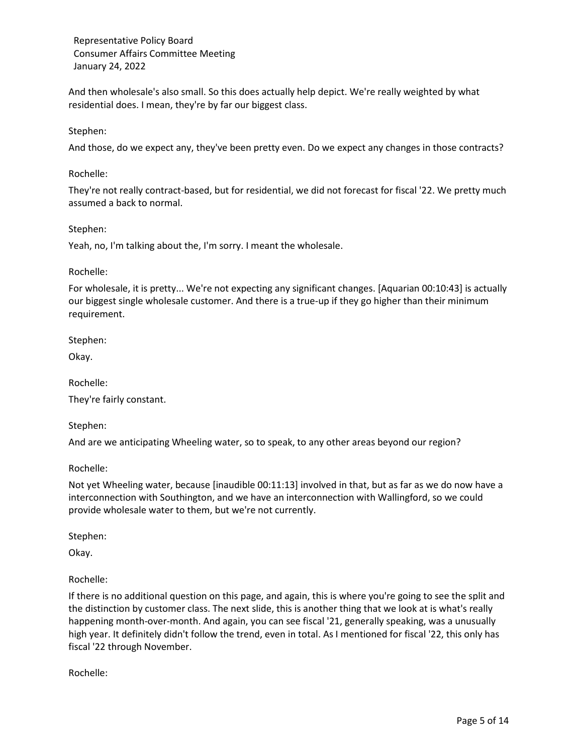And then wholesale's also small. So this does actually help depict. We're really weighted by what residential does. I mean, they're by far our biggest class.

### Stephen:

And those, do we expect any, they've been pretty even. Do we expect any changes in those contracts?

#### Rochelle:

They're not really contract-based, but for residential, we did not forecast for fiscal '22. We pretty much assumed a back to normal.

#### Stephen:

Yeah, no, I'm talking about the, I'm sorry. I meant the wholesale.

#### Rochelle:

For wholesale, it is pretty... We're not expecting any significant changes. [Aquarian 00:10:43] is actually our biggest single wholesale customer. And there is a true-up if they go higher than their minimum requirement.

Stephen:

Okay.

Rochelle:

They're fairly constant.

Stephen:

And are we anticipating Wheeling water, so to speak, to any other areas beyond our region?

Rochelle:

Not yet Wheeling water, because [inaudible 00:11:13] involved in that, but as far as we do now have a interconnection with Southington, and we have an interconnection with Wallingford, so we could provide wholesale water to them, but we're not currently.

Stephen:

Okay.

Rochelle:

If there is no additional question on this page, and again, this is where you're going to see the split and the distinction by customer class. The next slide, this is another thing that we look at is what's really happening month-over-month. And again, you can see fiscal '21, generally speaking, was a unusually high year. It definitely didn't follow the trend, even in total. As I mentioned for fiscal '22, this only has fiscal '22 through November.

Rochelle: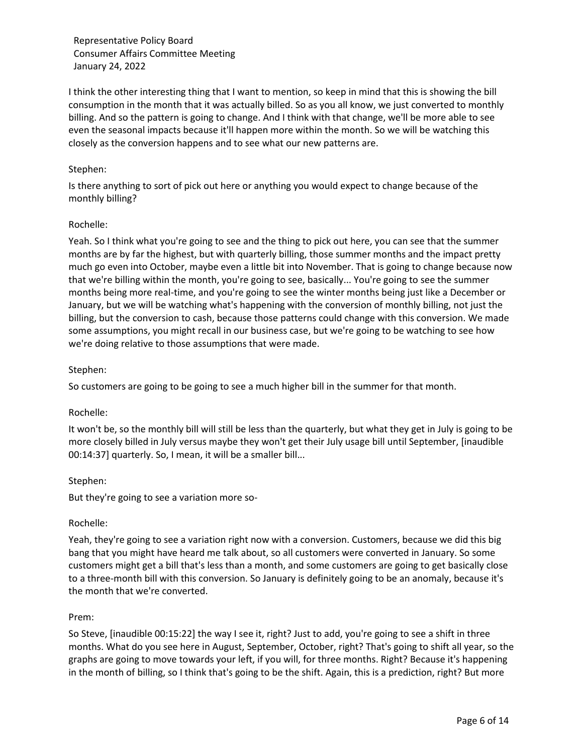I think the other interesting thing that I want to mention, so keep in mind that this is showing the bill consumption in the month that it was actually billed. So as you all know, we just converted to monthly billing. And so the pattern is going to change. And I think with that change, we'll be more able to see even the seasonal impacts because it'll happen more within the month. So we will be watching this closely as the conversion happens and to see what our new patterns are.

### Stephen:

Is there anything to sort of pick out here or anything you would expect to change because of the monthly billing?

### Rochelle:

Yeah. So I think what you're going to see and the thing to pick out here, you can see that the summer months are by far the highest, but with quarterly billing, those summer months and the impact pretty much go even into October, maybe even a little bit into November. That is going to change because now that we're billing within the month, you're going to see, basically... You're going to see the summer months being more real-time, and you're going to see the winter months being just like a December or January, but we will be watching what's happening with the conversion of monthly billing, not just the billing, but the conversion to cash, because those patterns could change with this conversion. We made some assumptions, you might recall in our business case, but we're going to be watching to see how we're doing relative to those assumptions that were made.

### Stephen:

So customers are going to be going to see a much higher bill in the summer for that month.

#### Rochelle:

It won't be, so the monthly bill will still be less than the quarterly, but what they get in July is going to be more closely billed in July versus maybe they won't get their July usage bill until September, [inaudible 00:14:37] quarterly. So, I mean, it will be a smaller bill...

#### Stephen:

But they're going to see a variation more so-

#### Rochelle:

Yeah, they're going to see a variation right now with a conversion. Customers, because we did this big bang that you might have heard me talk about, so all customers were converted in January. So some customers might get a bill that's less than a month, and some customers are going to get basically close to a three-month bill with this conversion. So January is definitely going to be an anomaly, because it's the month that we're converted.

#### Prem:

So Steve, [inaudible 00:15:22] the way I see it, right? Just to add, you're going to see a shift in three months. What do you see here in August, September, October, right? That's going to shift all year, so the graphs are going to move towards your left, if you will, for three months. Right? Because it's happening in the month of billing, so I think that's going to be the shift. Again, this is a prediction, right? But more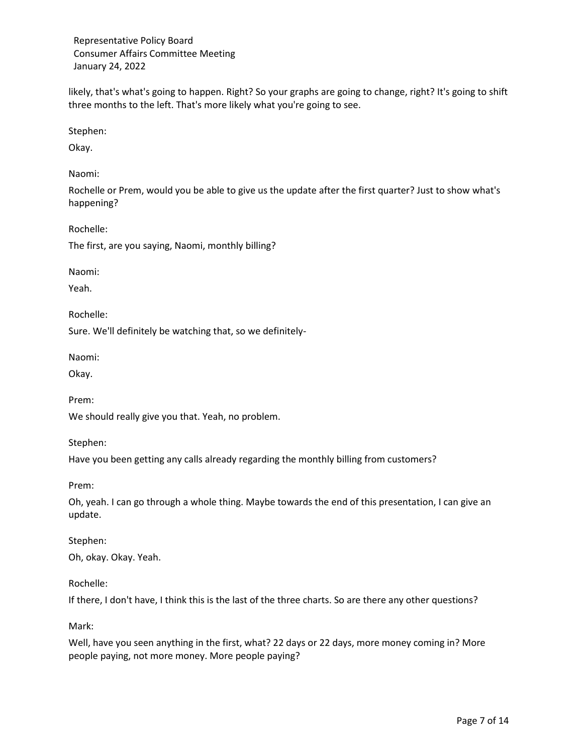likely, that's what's going to happen. Right? So your graphs are going to change, right? It's going to shift three months to the left. That's more likely what you're going to see.

Stephen:

Okay.

Naomi:

Rochelle or Prem, would you be able to give us the update after the first quarter? Just to show what's happening?

Rochelle:

The first, are you saying, Naomi, monthly billing?

Naomi:

Yeah.

Rochelle:

Sure. We'll definitely be watching that, so we definitely-

Naomi:

Okay.

Prem:

We should really give you that. Yeah, no problem.

Stephen:

Have you been getting any calls already regarding the monthly billing from customers?

Prem:

Oh, yeah. I can go through a whole thing. Maybe towards the end of this presentation, I can give an update.

Stephen: Oh, okay. Okay. Yeah.

# Rochelle:

If there, I don't have, I think this is the last of the three charts. So are there any other questions?

Mark:

Well, have you seen anything in the first, what? 22 days or 22 days, more money coming in? More people paying, not more money. More people paying?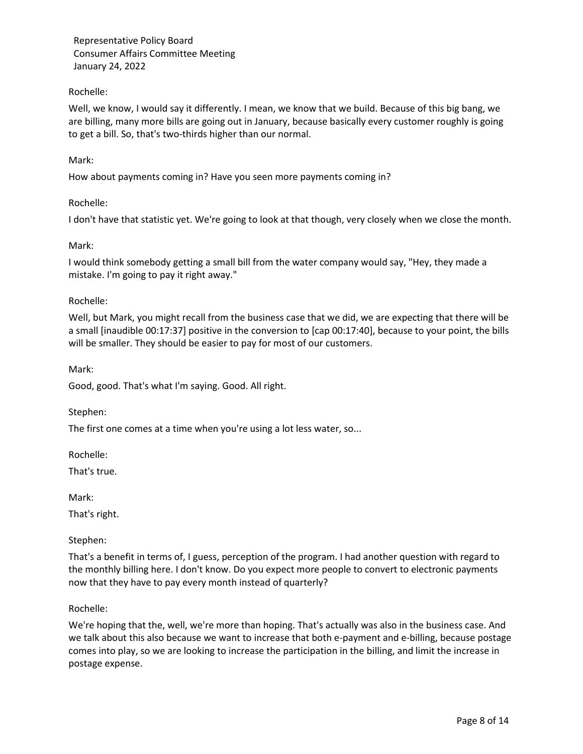## Rochelle:

Well, we know, I would say it differently. I mean, we know that we build. Because of this big bang, we are billing, many more bills are going out in January, because basically every customer roughly is going to get a bill. So, that's two-thirds higher than our normal.

### Mark:

How about payments coming in? Have you seen more payments coming in?

### Rochelle:

I don't have that statistic yet. We're going to look at that though, very closely when we close the month.

### Mark:

I would think somebody getting a small bill from the water company would say, "Hey, they made a mistake. I'm going to pay it right away."

### Rochelle:

Well, but Mark, you might recall from the business case that we did, we are expecting that there will be a small [inaudible 00:17:37] positive in the conversion to [cap 00:17:40], because to your point, the bills will be smaller. They should be easier to pay for most of our customers.

Mark:

Good, good. That's what I'm saying. Good. All right.

Stephen:

The first one comes at a time when you're using a lot less water, so...

Rochelle:

That's true.

Mark:

That's right.

#### Stephen:

That's a benefit in terms of, I guess, perception of the program. I had another question with regard to the monthly billing here. I don't know. Do you expect more people to convert to electronic payments now that they have to pay every month instead of quarterly?

#### Rochelle:

We're hoping that the, well, we're more than hoping. That's actually was also in the business case. And we talk about this also because we want to increase that both e-payment and e-billing, because postage comes into play, so we are looking to increase the participation in the billing, and limit the increase in postage expense.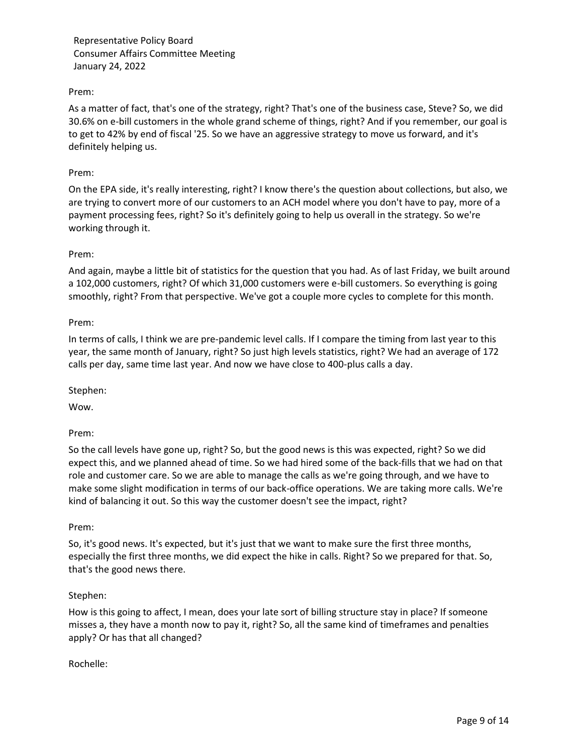## Prem:

As a matter of fact, that's one of the strategy, right? That's one of the business case, Steve? So, we did 30.6% on e-bill customers in the whole grand scheme of things, right? And if you remember, our goal is to get to 42% by end of fiscal '25. So we have an aggressive strategy to move us forward, and it's definitely helping us.

#### Prem:

On the EPA side, it's really interesting, right? I know there's the question about collections, but also, we are trying to convert more of our customers to an ACH model where you don't have to pay, more of a payment processing fees, right? So it's definitely going to help us overall in the strategy. So we're working through it.

### Prem:

And again, maybe a little bit of statistics for the question that you had. As of last Friday, we built around a 102,000 customers, right? Of which 31,000 customers were e-bill customers. So everything is going smoothly, right? From that perspective. We've got a couple more cycles to complete for this month.

### Prem:

In terms of calls, I think we are pre-pandemic level calls. If I compare the timing from last year to this year, the same month of January, right? So just high levels statistics, right? We had an average of 172 calls per day, same time last year. And now we have close to 400-plus calls a day.

Stephen:

Wow.

Prem:

So the call levels have gone up, right? So, but the good news is this was expected, right? So we did expect this, and we planned ahead of time. So we had hired some of the back-fills that we had on that role and customer care. So we are able to manage the calls as we're going through, and we have to make some slight modification in terms of our back-office operations. We are taking more calls. We're kind of balancing it out. So this way the customer doesn't see the impact, right?

#### Prem:

So, it's good news. It's expected, but it's just that we want to make sure the first three months, especially the first three months, we did expect the hike in calls. Right? So we prepared for that. So, that's the good news there.

#### Stephen:

How is this going to affect, I mean, does your late sort of billing structure stay in place? If someone misses a, they have a month now to pay it, right? So, all the same kind of timeframes and penalties apply? Or has that all changed?

#### Rochelle: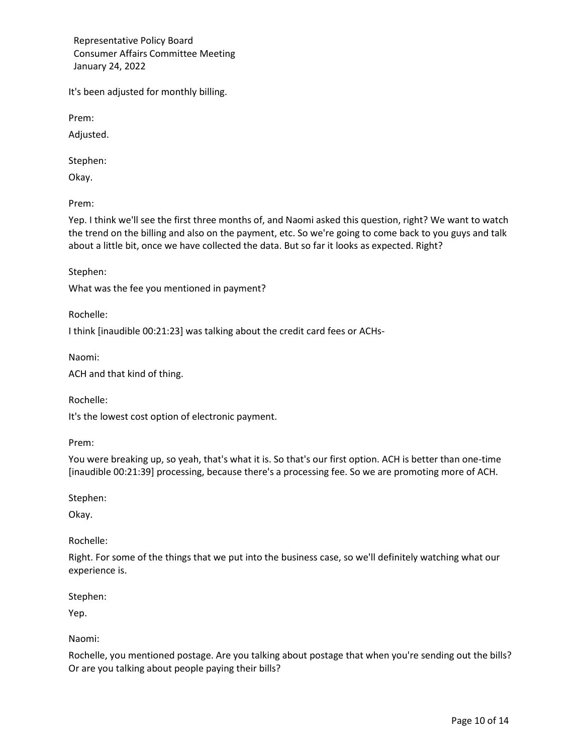It's been adjusted for monthly billing.

Prem:

Adjusted.

Stephen:

Okay.

Prem:

Yep. I think we'll see the first three months of, and Naomi asked this question, right? We want to watch the trend on the billing and also on the payment, etc. So we're going to come back to you guys and talk about a little bit, once we have collected the data. But so far it looks as expected. Right?

Stephen:

What was the fee you mentioned in payment?

Rochelle:

I think [inaudible 00:21:23] was talking about the credit card fees or ACHs-

Naomi:

ACH and that kind of thing.

Rochelle:

It's the lowest cost option of electronic payment.

Prem:

You were breaking up, so yeah, that's what it is. So that's our first option. ACH is better than one-time [inaudible 00:21:39] processing, because there's a processing fee. So we are promoting more of ACH.

Stephen:

Okay.

Rochelle:

Right. For some of the things that we put into the business case, so we'll definitely watching what our experience is.

Stephen:

Yep.

Naomi:

Rochelle, you mentioned postage. Are you talking about postage that when you're sending out the bills? Or are you talking about people paying their bills?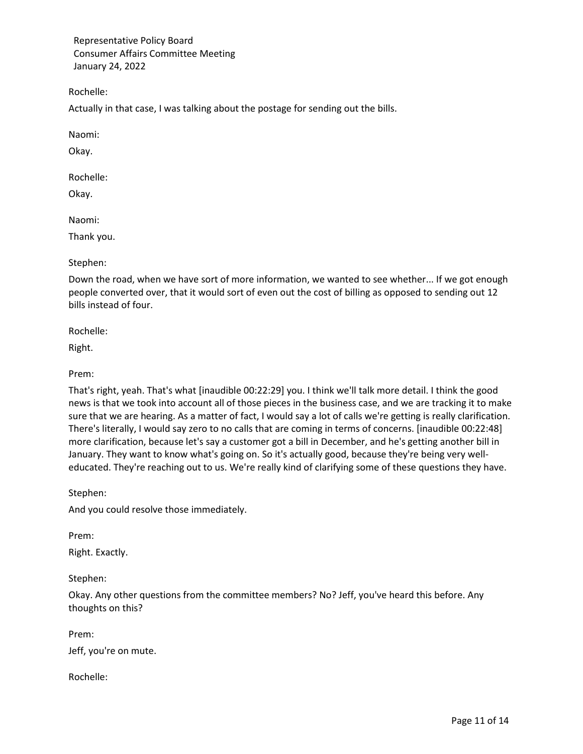Rochelle:

Actually in that case, I was talking about the postage for sending out the bills.

Naomi:

Okay.

Rochelle:

Okay.

Naomi:

Thank you.

Stephen:

Down the road, when we have sort of more information, we wanted to see whether... If we got enough people converted over, that it would sort of even out the cost of billing as opposed to sending out 12 bills instead of four.

Rochelle:

Right.

Prem:

That's right, yeah. That's what [inaudible 00:22:29] you. I think we'll talk more detail. I think the good news is that we took into account all of those pieces in the business case, and we are tracking it to make sure that we are hearing. As a matter of fact, I would say a lot of calls we're getting is really clarification. There's literally, I would say zero to no calls that are coming in terms of concerns. [inaudible 00:22:48] more clarification, because let's say a customer got a bill in December, and he's getting another bill in January. They want to know what's going on. So it's actually good, because they're being very welleducated. They're reaching out to us. We're really kind of clarifying some of these questions they have.

Stephen:

And you could resolve those immediately.

Prem:

Right. Exactly.

Stephen:

Okay. Any other questions from the committee members? No? Jeff, you've heard this before. Any thoughts on this?

Prem:

Jeff, you're on mute.

Rochelle: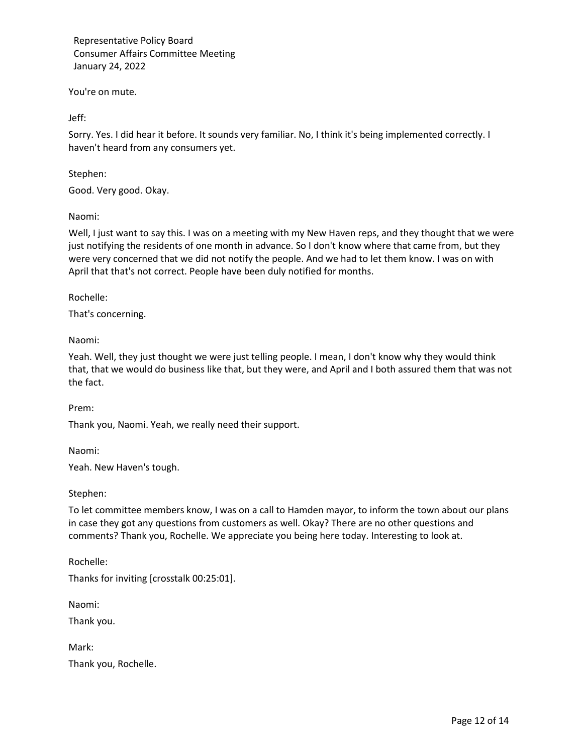You're on mute.

Jeff:

Sorry. Yes. I did hear it before. It sounds very familiar. No, I think it's being implemented correctly. I haven't heard from any consumers yet.

### Stephen:

Good. Very good. Okay.

### Naomi:

Well, I just want to say this. I was on a meeting with my New Haven reps, and they thought that we were just notifying the residents of one month in advance. So I don't know where that came from, but they were very concerned that we did not notify the people. And we had to let them know. I was on with April that that's not correct. People have been duly notified for months.

Rochelle:

That's concerning.

Naomi:

Yeah. Well, they just thought we were just telling people. I mean, I don't know why they would think that, that we would do business like that, but they were, and April and I both assured them that was not the fact.

Prem:

Thank you, Naomi. Yeah, we really need their support.

Naomi:

Yeah. New Haven's tough.

Stephen:

To let committee members know, I was on a call to Hamden mayor, to inform the town about our plans in case they got any questions from customers as well. Okay? There are no other questions and comments? Thank you, Rochelle. We appreciate you being here today. Interesting to look at.

Rochelle: Thanks for inviting [crosstalk 00:25:01].

Naomi:

Thank you.

Mark:

Thank you, Rochelle.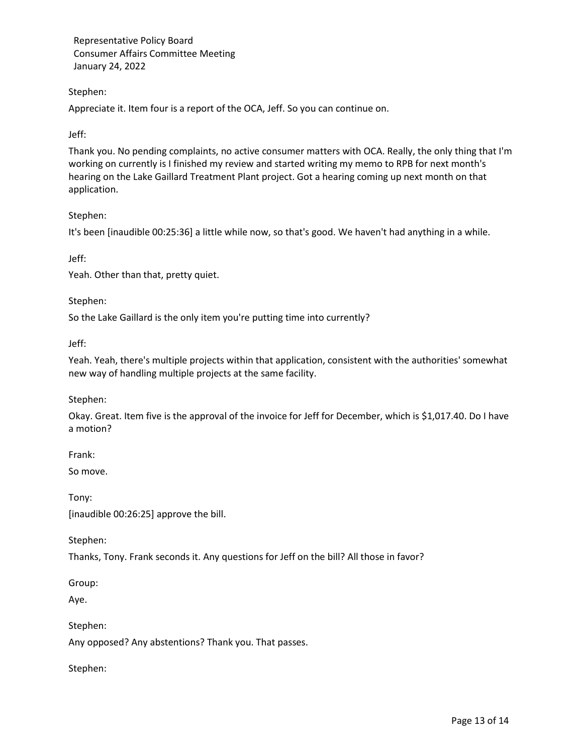# Stephen:

Appreciate it. Item four is a report of the OCA, Jeff. So you can continue on.

# Jeff:

Thank you. No pending complaints, no active consumer matters with OCA. Really, the only thing that I'm working on currently is I finished my review and started writing my memo to RPB for next month's hearing on the Lake Gaillard Treatment Plant project. Got a hearing coming up next month on that application.

# Stephen:

It's been [inaudible 00:25:36] a little while now, so that's good. We haven't had anything in a while.

Jeff:

Yeah. Other than that, pretty quiet.

# Stephen:

So the Lake Gaillard is the only item you're putting time into currently?

Jeff:

Yeah. Yeah, there's multiple projects within that application, consistent with the authorities' somewhat new way of handling multiple projects at the same facility.

# Stephen:

Okay. Great. Item five is the approval of the invoice for Jeff for December, which is \$1,017.40. Do I have a motion?

Frank:

So move.

Tony: [inaudible 00:26:25] approve the bill.

Stephen:

Thanks, Tony. Frank seconds it. Any questions for Jeff on the bill? All those in favor?

Group:

Aye.

Stephen: Any opposed? Any abstentions? Thank you. That passes.

Stephen: